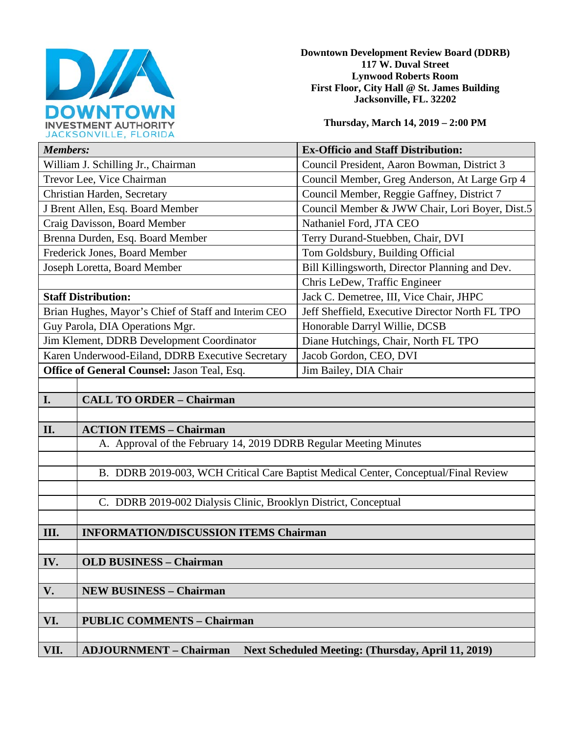

**Downtown Development Review Board (DDRB) 117 W. Duval Street Lynwood Roberts Room First Floor, City Hall @ St. James Building Jacksonville, FL. 32202** 

**Thursday, March 14, 2019 – 2:00 PM**

| JACROUNVILLE, FLUNIUM                                |                                                                                     |                                                 |  |
|------------------------------------------------------|-------------------------------------------------------------------------------------|-------------------------------------------------|--|
| <b>Members:</b>                                      |                                                                                     | <b>Ex-Officio and Staff Distribution:</b>       |  |
| William J. Schilling Jr., Chairman                   |                                                                                     | Council President, Aaron Bowman, District 3     |  |
| Trevor Lee, Vice Chairman                            |                                                                                     | Council Member, Greg Anderson, At Large Grp 4   |  |
| Christian Harden, Secretary                          |                                                                                     | Council Member, Reggie Gaffney, District 7      |  |
| J Brent Allen, Esq. Board Member                     |                                                                                     | Council Member & JWW Chair, Lori Boyer, Dist.5  |  |
| Craig Davisson, Board Member                         |                                                                                     | Nathaniel Ford, JTA CEO                         |  |
| Brenna Durden, Esq. Board Member                     |                                                                                     | Terry Durand-Stuebben, Chair, DVI               |  |
| Frederick Jones, Board Member                        |                                                                                     | Tom Goldsbury, Building Official                |  |
| Joseph Loretta, Board Member                         |                                                                                     | Bill Killingsworth, Director Planning and Dev.  |  |
|                                                      |                                                                                     | Chris LeDew, Traffic Engineer                   |  |
| <b>Staff Distribution:</b>                           |                                                                                     | Jack C. Demetree, III, Vice Chair, JHPC         |  |
| Brian Hughes, Mayor's Chief of Staff and Interim CEO |                                                                                     | Jeff Sheffield, Executive Director North FL TPO |  |
| Guy Parola, DIA Operations Mgr.                      |                                                                                     | Honorable Darryl Willie, DCSB                   |  |
| Jim Klement, DDRB Development Coordinator            |                                                                                     | Diane Hutchings, Chair, North FL TPO            |  |
| Karen Underwood-Eiland, DDRB Executive Secretary     |                                                                                     | Jacob Gordon, CEO, DVI                          |  |
| Office of General Counsel: Jason Teal, Esq.          |                                                                                     | Jim Bailey, DIA Chair                           |  |
|                                                      |                                                                                     |                                                 |  |
| I.                                                   | <b>CALL TO ORDER - Chairman</b>                                                     |                                                 |  |
|                                                      |                                                                                     |                                                 |  |
| II.                                                  | <b>ACTION ITEMS - Chairman</b>                                                      |                                                 |  |
|                                                      | A. Approval of the February 14, 2019 DDRB Regular Meeting Minutes                   |                                                 |  |
|                                                      |                                                                                     |                                                 |  |
|                                                      | B. DDRB 2019-003, WCH Critical Care Baptist Medical Center, Conceptual/Final Review |                                                 |  |
|                                                      |                                                                                     |                                                 |  |
|                                                      | C. DDRB 2019-002 Dialysis Clinic, Brooklyn District, Conceptual                     |                                                 |  |
|                                                      |                                                                                     |                                                 |  |
| III.                                                 | <b>INFORMATION/DISCUSSION ITEMS Chairman</b>                                        |                                                 |  |
|                                                      |                                                                                     |                                                 |  |
| IV.                                                  | <b>OLD BUSINESS - Chairman</b>                                                      |                                                 |  |
|                                                      |                                                                                     |                                                 |  |
|                                                      |                                                                                     |                                                 |  |

|      | <b>NEW BUSINESS - Chairman</b>                                                      |  |
|------|-------------------------------------------------------------------------------------|--|
|      |                                                                                     |  |
| VI.  | <b>PUBLIC COMMENTS - Chairman</b>                                                   |  |
|      |                                                                                     |  |
| VII. | <b>ADJOURNMENT – Chairman</b><br>Next Scheduled Meeting: (Thursday, April 11, 2019) |  |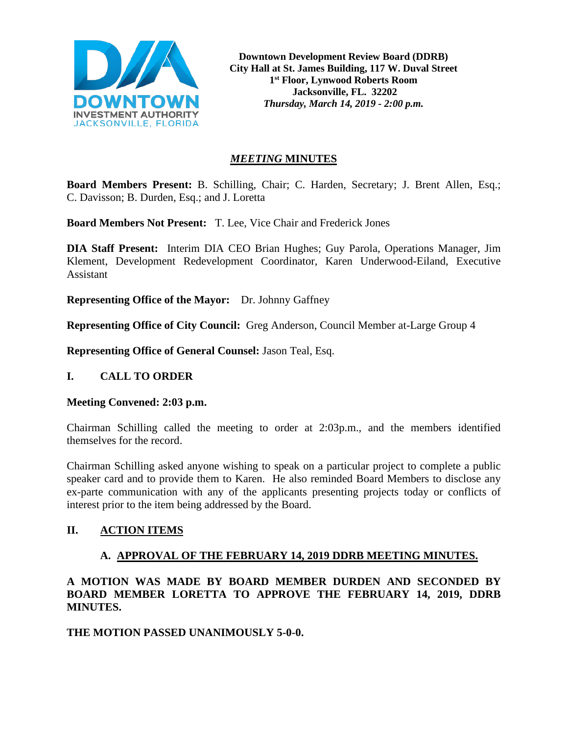

**Downtown Development Review Board (DDRB) City Hall at St. James Building, 117 W. Duval Street 1st Floor, Lynwood Roberts Room Jacksonville, FL. 32202** *Thursday, March 14, 2019 - 2:00 p.m.*

# *MEETING* **MINUTES**

**Board Members Present:** B. Schilling, Chair; C. Harden, Secretary; J. Brent Allen, Esq.; C. Davisson; B. Durden, Esq.; and J. Loretta

**Board Members Not Present:** T. Lee, Vice Chair and Frederick Jones

**DIA Staff Present:** Interim DIA CEO Brian Hughes; Guy Parola, Operations Manager, Jim Klement, Development Redevelopment Coordinator, Karen Underwood-Eiland, Executive Assistant

**Representing Office of the Mayor:** Dr. Johnny Gaffney

**Representing Office of City Council:** Greg Anderson, Council Member at-Large Group 4

**Representing Office of General Counsel:** Jason Teal, Esq.

# **I. CALL TO ORDER**

### **Meeting Convened: 2:03 p.m.**

Chairman Schilling called the meeting to order at 2:03p.m., and the members identified themselves for the record.

Chairman Schilling asked anyone wishing to speak on a particular project to complete a public speaker card and to provide them to Karen. He also reminded Board Members to disclose any ex-parte communication with any of the applicants presenting projects today or conflicts of interest prior to the item being addressed by the Board.

# **II. ACTION ITEMS**

# **A. APPROVAL OF THE FEBRUARY 14, 2019 DDRB MEETING MINUTES.**

**A MOTION WAS MADE BY BOARD MEMBER DURDEN AND SECONDED BY BOARD MEMBER LORETTA TO APPROVE THE FEBRUARY 14, 2019, DDRB MINUTES.** 

**THE MOTION PASSED UNANIMOUSLY 5-0-0.**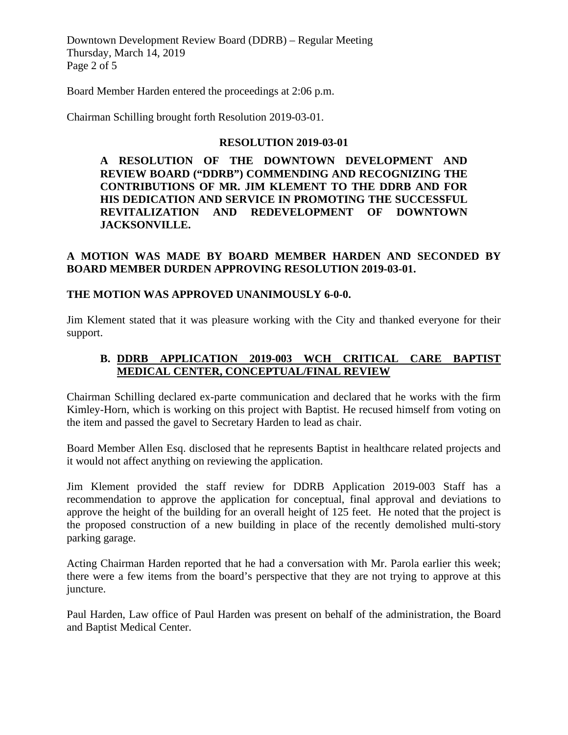Downtown Development Review Board (DDRB) – Regular Meeting Thursday, March 14, 2019 Page 2 of 5

Board Member Harden entered the proceedings at 2:06 p.m.

Chairman Schilling brought forth Resolution 2019-03-01.

#### **RESOLUTION 2019-03-01**

**A RESOLUTION OF THE DOWNTOWN DEVELOPMENT AND REVIEW BOARD ("DDRB") COMMENDING AND RECOGNIZING THE CONTRIBUTIONS OF MR. JIM KLEMENT TO THE DDRB AND FOR HIS DEDICATION AND SERVICE IN PROMOTING THE SUCCESSFUL REVITALIZATION AND REDEVELOPMENT OF DOWNTOWN JACKSONVILLE.**

## **A MOTION WAS MADE BY BOARD MEMBER HARDEN AND SECONDED BY BOARD MEMBER DURDEN APPROVING RESOLUTION 2019-03-01.**

#### **THE MOTION WAS APPROVED UNANIMOUSLY 6-0-0.**

Jim Klement stated that it was pleasure working with the City and thanked everyone for their support.

# **B. DDRB APPLICATION 2019-003 WCH CRITICAL CARE BAPTIST MEDICAL CENTER, CONCEPTUAL/FINAL REVIEW**

Chairman Schilling declared ex-parte communication and declared that he works with the firm Kimley-Horn, which is working on this project with Baptist. He recused himself from voting on the item and passed the gavel to Secretary Harden to lead as chair.

Board Member Allen Esq. disclosed that he represents Baptist in healthcare related projects and it would not affect anything on reviewing the application.

Jim Klement provided the staff review for DDRB Application 2019-003 Staff has a recommendation to approve the application for conceptual, final approval and deviations to approve the height of the building for an overall height of 125 feet. He noted that the project is the proposed construction of a new building in place of the recently demolished multi-story parking garage.

Acting Chairman Harden reported that he had a conversation with Mr. Parola earlier this week; there were a few items from the board's perspective that they are not trying to approve at this juncture.

Paul Harden, Law office of Paul Harden was present on behalf of the administration, the Board and Baptist Medical Center.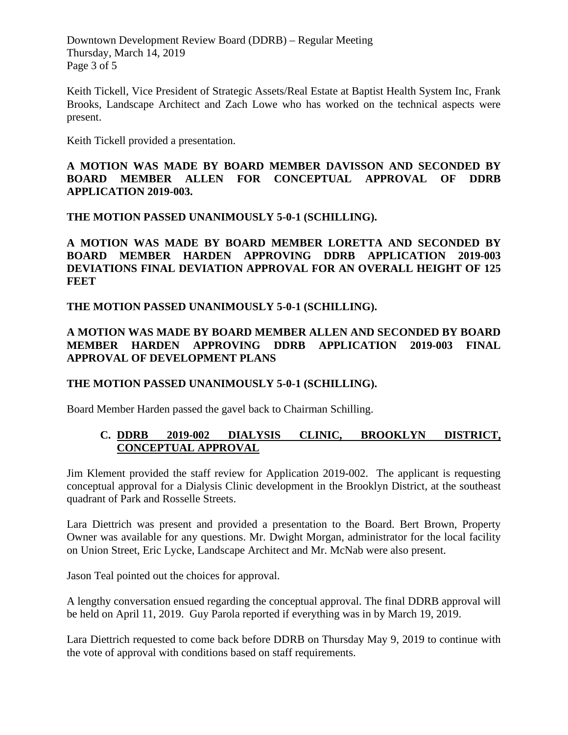Downtown Development Review Board (DDRB) – Regular Meeting Thursday, March 14, 2019 Page 3 of 5

Keith Tickell, Vice President of Strategic Assets/Real Estate at Baptist Health System Inc, Frank Brooks, Landscape Architect and Zach Lowe who has worked on the technical aspects were present.

Keith Tickell provided a presentation.

## **A MOTION WAS MADE BY BOARD MEMBER DAVISSON AND SECONDED BY BOARD MEMBER ALLEN FOR CONCEPTUAL APPROVAL OF DDRB APPLICATION 2019-003.**

**THE MOTION PASSED UNANIMOUSLY 5-0-1 (SCHILLING).** 

**A MOTION WAS MADE BY BOARD MEMBER LORETTA AND SECONDED BY BOARD MEMBER HARDEN APPROVING DDRB APPLICATION 2019-003 DEVIATIONS FINAL DEVIATION APPROVAL FOR AN OVERALL HEIGHT OF 125 FEET**

## **THE MOTION PASSED UNANIMOUSLY 5-0-1 (SCHILLING).**

# **A MOTION WAS MADE BY BOARD MEMBER ALLEN AND SECONDED BY BOARD MEMBER HARDEN APPROVING DDRB APPLICATION 2019-003 FINAL APPROVAL OF DEVELOPMENT PLANS**

### **THE MOTION PASSED UNANIMOUSLY 5-0-1 (SCHILLING).**

Board Member Harden passed the gavel back to Chairman Schilling.

# **C. DDRB 2019-002 DIALYSIS CLINIC, BROOKLYN DISTRICT, CONCEPTUAL APPROVAL**

Jim Klement provided the staff review for Application 2019-002. The applicant is requesting conceptual approval for a Dialysis Clinic development in the Brooklyn District, at the southeast quadrant of Park and Rosselle Streets.

Lara Diettrich was present and provided a presentation to the Board. Bert Brown, Property Owner was available for any questions. Mr. Dwight Morgan, administrator for the local facility on Union Street, Eric Lycke, Landscape Architect and Mr. McNab were also present.

Jason Teal pointed out the choices for approval.

A lengthy conversation ensued regarding the conceptual approval. The final DDRB approval will be held on April 11, 2019. Guy Parola reported if everything was in by March 19, 2019.

Lara Diettrich requested to come back before DDRB on Thursday May 9, 2019 to continue with the vote of approval with conditions based on staff requirements.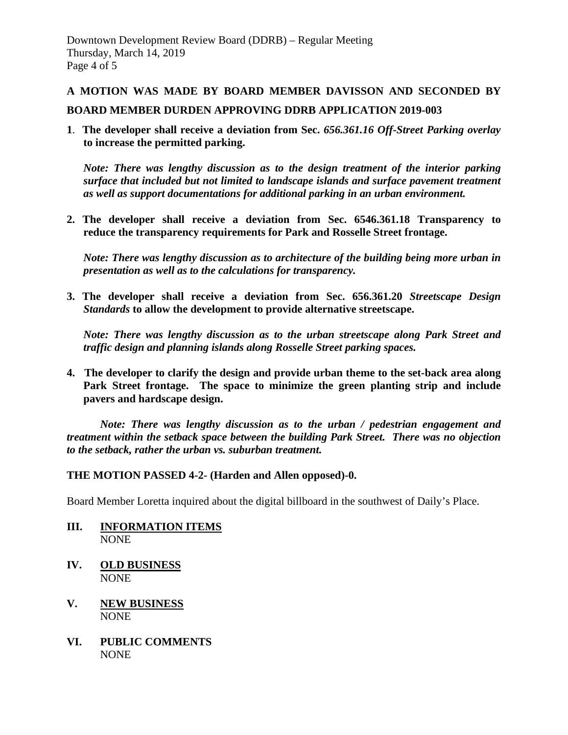### **A MOTION WAS MADE BY BOARD MEMBER DAVISSON AND SECONDED BY**

### **BOARD MEMBER DURDEN APPROVING DDRB APPLICATION 2019-003**

**1**. **The developer shall receive a deviation from Sec.** *656.361.16 Off-Street Parking overlay*  **to increase the permitted parking.**

*Note: There was lengthy discussion as to the design treatment of the interior parking surface that included but not limited to landscape islands and surface pavement treatment as well as support documentations for additional parking in an urban environment.*

**2. The developer shall receive a deviation from Sec. 6546.361.18 Transparency to reduce the transparency requirements for Park and Rosselle Street frontage.**

*Note: There was lengthy discussion as to architecture of the building being more urban in presentation as well as to the calculations for transparency.*

**3. The developer shall receive a deviation from Sec. 656.361.20** *Streetscape Design Standards* **to allow the development to provide alternative streetscape.** 

 *Note: There was lengthy discussion as to the urban streetscape along Park Street and traffic design and planning islands along Rosselle Street parking spaces.*

**4. The developer to clarify the design and provide urban theme to the set-back area along Park Street frontage. The space to minimize the green planting strip and include pavers and hardscape design.** 

*Note: There was lengthy discussion as to the urban / pedestrian engagement and treatment within the setback space between the building Park Street. There was no objection to the setback, rather the urban vs. suburban treatment.*

#### **THE MOTION PASSED 4-2- (Harden and Allen opposed)-0.**

Board Member Loretta inquired about the digital billboard in the southwest of Daily's Place.

- **III. INFORMATION ITEMS NONE**
- **IV. OLD BUSINESS** NONE
- **V. NEW BUSINESS** NONE
- **VI. PUBLIC COMMENTS** NONE